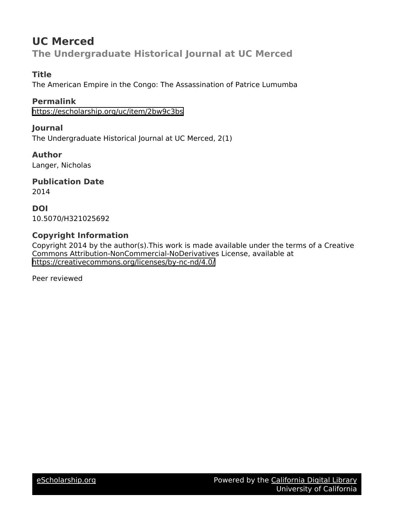# **UC Merced The Undergraduate Historical Journal at UC Merced**

# **Title**

The American Empire in the Congo: The Assassination of Patrice Lumumba

**Permalink** <https://escholarship.org/uc/item/2bw9c3bs>

**Journal** The Undergraduate Historical Journal at UC Merced, 2(1)

**Author** Langer, Nicholas

**Publication Date** 2014

**DOI** 10.5070/H321025692

# **Copyright Information**

Copyright 2014 by the author(s).This work is made available under the terms of a Creative Commons Attribution-NonCommercial-NoDerivatives License, available at <https://creativecommons.org/licenses/by-nc-nd/4.0/>

Peer reviewed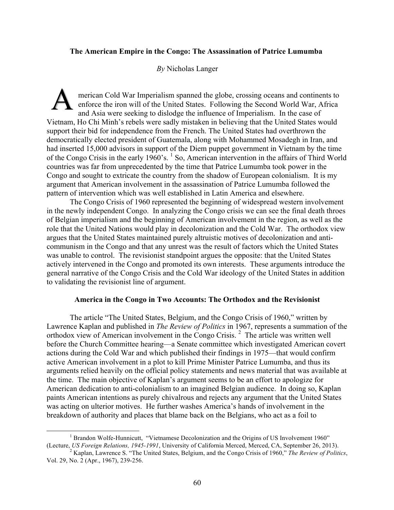#### **The American Empire in the Congo: The Assassination of Patrice Lumumba**

 *By* Nicholas Langer

A merican Cold War Imperialism spanned the globe, crossing oceans and continents to enforce the iron will of the United States. Following the Second World War, Africa and Asia were seeking to dislodge the influence of Imperialism. In the case of Vietnam, Ho Chi Minh's rebels were sadly mistaken in believing that the United States would support their bid for independence from the French. The United States had overthrown the democratically elected president of Guatemala, along with Mohammed Mosadegh in Iran, and had inserted 15,000 advisors in support of the Diem puppet government in Vietnam by the time of the Congo Crisis in the early 1960's.<sup>1</sup> So, American intervention in the affairs of Third World countries was far from unprecedented by the time that Patrice Lumumba took power in the Congo and sought to extricate the country from the shadow of European colonialism. It is my argument that American involvement in the assassination of Patrice Lumumba followed the pattern of intervention which was well established in Latin America and elsewhere.

The Congo Crisis of 1960 represented the beginning of widespread western involvement in the newly independent Congo. In analyzing the Congo crisis we can see the final death throes of Belgian imperialism and the beginning of American involvement in the region, as well as the role that the United Nations would play in decolonization and the Cold War. The orthodox view argues that the United States maintained purely altruistic motives of decolonization and anticommunism in the Congo and that any unrest was the result of factors which the United States was unable to control. The revisionist standpoint argues the opposite: that the United States actively intervened in the Congo and promoted its own interests. These arguments introduce the general narrative of the Congo Crisis and the Cold War ideology of the United States in addition to validating the revisionist line of argument.

#### **America in the Congo in Two Accounts: The Orthodox and the Revisionist**

The article "The United States, Belgium, and the Congo Crisis of 1960," written by Lawrence Kaplan and published in *The Review of Politics* in 1967, represents a summation of the orthodox view of American involvement in the Congo Crisis.<sup>2</sup> The article was written well before the Church Committee hearing—a Senate committee which investigated American covert actions during the Cold War and which published their findings in 1975—that would confirm active American involvement in a plot to kill Prime Minister Patrice Lumumba, and thus its arguments relied heavily on the official policy statements and news material that was available at the time. The main objective of Kaplan's argument seems to be an effort to apologize for American dedication to anti-colonialism to an imagined Belgian audience. In doing so, Kaplan paints American intentions as purely chivalrous and rejects any argument that the United States was acting on ulterior motives. He further washes America's hands of involvement in the breakdown of authority and places that blame back on the Belgians, who act as a foil to

<sup>&</sup>lt;sup>1</sup> Brandon Wolfe-Hunnicutt, "Vietnamese Decolonization and the Origins of US Involvement 1960" (Lecture, US Foreign Relations, 1945-1991, University of California Merced, Merced, CA, September 26, 2013).<br><sup>2</sup> Kaplan, Lawrence S. "The United States, Belgium, and the Congo Crisis of 1960," The Review of Politics,

Vol. 29, No. 2 (Apr., 1967), 239-256.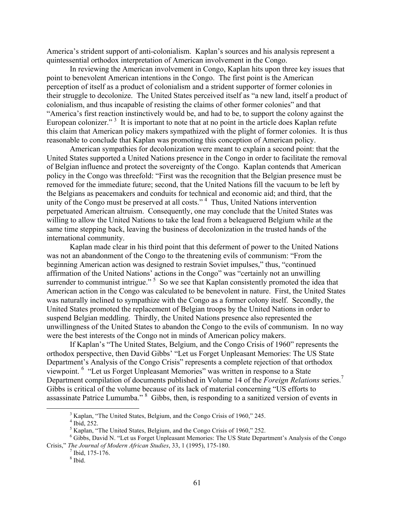America's strident support of anti-colonialism. Kaplan's sources and his analysis represent a quintessential orthodox interpretation of American involvement in the Congo.

In reviewing the American involvement in Congo, Kaplan hits upon three key issues that point to benevolent American intentions in the Congo. The first point is the American perception of itself as a product of colonialism and a strident supporter of former colonies in their struggle to decolonize. The United States perceived itself as "a new land, itself a product of colonialism, and thus incapable of resisting the claims of other former colonies" and that "America's first reaction instinctively would be, and had to be, to support the colony against the European colonizer."<sup>3</sup> It is important to note that at no point in the article does Kaplan refute this claim that American policy makers sympathized with the plight of former colonies. It is thus reasonable to conclude that Kaplan was promoting this conception of American policy.

American sympathies for decolonization were meant to explain a second point: that the United States supported a United Nations presence in the Congo in order to facilitate the removal of Belgian influence and protect the sovereignty of the Congo. Kaplan contends that American policy in the Congo was threefold: "First was the recognition that the Belgian presence must be removed for the immediate future; second, that the United Nations fill the vacuum to be left by the Belgians as peacemakers and conduits for technical and economic aid; and third, that the unity of the Congo must be preserved at all costs."<sup>4</sup> Thus, United Nations intervention perpetuated American altruism. Consequently, one may conclude that the United States was willing to allow the United Nations to take the lead from a beleaguered Belgium while at the same time stepping back, leaving the business of decolonization in the trusted hands of the international community.

Kaplan made clear in his third point that this deferment of power to the United Nations was not an abandonment of the Congo to the threatening evils of communism: "From the beginning American action was designed to restrain Soviet impulses," thus, "continued affirmation of the United Nations' actions in the Congo" was "certainly not an unwilling surrender to communist intrigue."  $5$  So we see that Kaplan consistently promoted the idea that American action in the Congo was calculated to be benevolent in nature. First, the United States was naturally inclined to sympathize with the Congo as a former colony itself. Secondly, the United States promoted the replacement of Belgian troops by the United Nations in order to suspend Belgian meddling. Thirdly, the United Nations presence also represented the unwillingness of the United States to abandon the Congo to the evils of communism. In no way were the best interests of the Congo not in minds of American policy makers.

If Kaplan's "The United States, Belgium, and the Congo Crisis of 1960" represents the orthodox perspective, then David Gibbs' "Let us Forget Unpleasant Memories: The US State Department's Analysis of the Congo Crisis" represents a complete rejection of that orthodox viewpoint. <sup>6</sup> "Let us Forget Unpleasant Memories" was written in response to a State Department compilation of documents published in Volume 14 of the *Foreign Relations* series. 7 Gibbs is critical of the volume because of its lack of material concerning "US efforts to assassinate Patrice Lumumba." <sup>8</sup> Gibbs, then, is responding to a sanitized version of events in

<sup>&</sup>lt;sup>3</sup> Kaplan, "The United States, Belgium, and the Congo Crisis of 1960," 245.<br>
<sup>4</sup> Ibid, 252.<br>
<sup>5</sup> Kaplan, "The United States, Belgium, and the Congo Crisis of 1960," 252.<br>
<sup>6</sup> Gibbs, David N. "Let us Forget Unpleasant Mem Crisis," *The Journal of Modern African Studies*, 33, 1 (1995), 175-180.<br><sup>7</sup> Ibid, 175-176.<br><sup>8</sup> Ibid.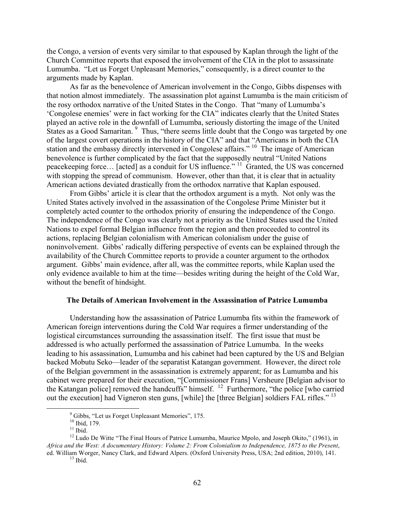the Congo, a version of events very similar to that espoused by Kaplan through the light of the Church Committee reports that exposed the involvement of the CIA in the plot to assassinate Lumumba. "Let us Forget Unpleasant Memories," consequently, is a direct counter to the arguments made by Kaplan.

As far as the benevolence of American involvement in the Congo, Gibbs dispenses with that notion almost immediately. The assassination plot against Lumumba is the main criticism of the rosy orthodox narrative of the United States in the Congo. That "many of Lumumba's 'Congolese enemies' were in fact working for the CIA" indicates clearly that the United States played an active role in the downfall of Lumumba, seriously distorting the image of the United States as a Good Samaritan. <sup>9</sup> Thus, "there seems little doubt that the Congo was targeted by one of the largest covert operations in the history of the CIA" and that "Americans in both the CIA station and the embassy directly intervened in Congolese affairs." <sup>10</sup> The image of American benevolence is further complicated by the fact that the supposedly neutral "United Nations peacekeeping force… [acted] as a conduit for US influence." 11 Granted, the US was concerned with stopping the spread of communism. However, other than that, it is clear that in actuality American actions deviated drastically from the orthodox narrative that Kaplan espoused.

From Gibbs' article it is clear that the orthodox argument is a myth. Not only was the United States actively involved in the assassination of the Congolese Prime Minister but it completely acted counter to the orthodox priority of ensuring the independence of the Congo. The independence of the Congo was clearly not a priority as the United States used the United Nations to expel formal Belgian influence from the region and then proceeded to control its actions, replacing Belgian colonialism with American colonialism under the guise of noninvolvement. Gibbs' radically differing perspective of events can be explained through the availability of the Church Committee reports to provide a counter argument to the orthodox argument. Gibbs' main evidence, after all, was the committee reports, while Kaplan used the only evidence available to him at the time—besides writing during the height of the Cold War, without the benefit of hindsight.

#### **The Details of American Involvement in the Assassination of Patrice Lumumba**

Understanding how the assassination of Patrice Lumumba fits within the framework of American foreign interventions during the Cold War requires a firmer understanding of the logistical circumstances surrounding the assassination itself. The first issue that must be addressed is who actually performed the assassination of Patrice Lumumba. In the weeks leading to his assassination, Lumumba and his cabinet had been captured by the US and Belgian backed Mobutu Seko—leader of the separatist Katangan government. However, the direct role of the Belgian government in the assassination is extremely apparent; for as Lumumba and his cabinet were prepared for their execution, "[Commissioner Frans] Versheure [Belgian advisor to the Katangan police] removed the handcuffs" himself. 12 Furthermore, "the police [who carried out the execution] had Vigneron sten guns, [while] the [three Belgian] soldiers FAL rifles."<sup>13</sup>

<sup>&</sup>lt;sup>9</sup> Gibbs, "Let us Forget Unpleasant Memories", 175.<br><sup>10</sup> Ibid, 179.<br><sup>11</sup> Ibid. 12 Ludo De Witte "The Final Hours of Patrice Lumumba, Maurice Mpolo, and Joseph Okito," (1961), in *Africa and the West: A documentary History: Volume 2: From Colonialism to Independence, 1875 to the Present*, ed. William Worger, Nancy Clark, and Edward Alpers. (Oxford University Press, USA; 2nd edition, 2010), 141. <sup>13</sup> Ibid.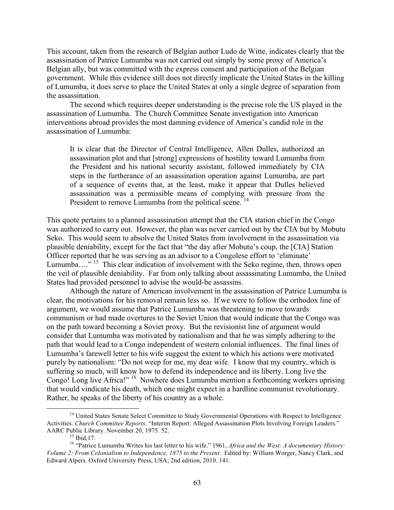This account, taken from the research of Belgian author Ludo de Witte, indicates clearly that the assassination of Patrice Lumumba was not carried out simply by some proxy of America's Belgian ally, but was committed with the express consent and participation of the Belgian government. While this evidence still does not directly implicate the United States in the killing of Lumumba, it does serve to place the United States at only a single degree of separation from the assassination.

The second which requires deeper understanding is the precise role the US played in the assassination of Lumumba. The Church Committee Senate investigation into American interventions abroad provides the most damning evidence of America's candid role in the assassination of Lumumba:

It is clear that the Director of Central Intelligence, Allen Dulles, authorized an assassination plot and that [strong] expressions of hostility toward Lumumba from the President and his national security assistant, followed immediately by CIA steps in the furtherance of an assassination operation against Lumumba, are part of a sequence of events that, at the least, make it appear that Dulles believed assassination was a permissible means of complying with pressure from the President to remove Lumumba from the political scene.<sup>14</sup>

This quote pertains to a planned assassination attempt that the CIA station chief in the Congo was authorized to carry out. However, the plan was never carried out by the CIA but by Mobutu Seko. This would seem to absolve the United States from involvement in the assassination via plausible deniability, except for the fact that "the day after Mobutu's coup, the [CIA] Station Officer reported that he was serving as an advisor to a Congolese effort to 'eliminate' Lumumba...."<sup>15</sup> This clear indication of involvement with the Seko regime, then, throws open the veil of plausible deniability. Far from only talking about assassinating Lumumba, the United States had provided personnel to advise the would-be assassins.

Although the nature of American involvement in the assassination of Patrice Lumumba is clear, the motivations for his removal remain less so. If we were to follow the orthodox line of argument, we would assume that Patrice Lumumba was threatening to move towards communism or had made overtures to the Soviet Union that would indicate that the Congo was on the path toward becoming a Soviet proxy. But the revisionist line of argument would consider that Lumumba was motivated by nationalism and that he was simply adhering to the path that would lead to a Congo independent of western colonial influences. The final lines of Lumumba's farewell letter to his wife suggest the extent to which his actions were motivated purely by nationalism: "Do not weep for me, my dear wife. I know that my country, which is suffering so much, will know how to defend its independence and its liberty. Long live the Congo! Long live Africa!" 16 Nowhere does Lumumba mention a forthcoming workers uprising that would vindicate his death, which one might expect in a hardline communist revolutionary. Rather, he speaks of the liberty of his country as a whole.

<sup>&</sup>lt;sup>14</sup> United States Senate Select Committee to Study Governmental Operations with Respect to Intelligence Activities. *Church Committee Reports*. "Interim Report: Alleged Assassination Plots Involving Foreign Leaders." AARC Public Library. November 20, 1975. 52.<br><sup>15</sup> Ibid,17. <sup>16</sup> "Patrice Lumumba Writes his last letter to his wife." 1961, *Africa and the West: A documentary History:* 

*Volume 2: From Colonialism to Independence, 1875 to the Present*. Edited by: William Worger, Nancy Clark, and Edward Alpers. Oxford University Press, USA; 2nd edition, 2010. 141.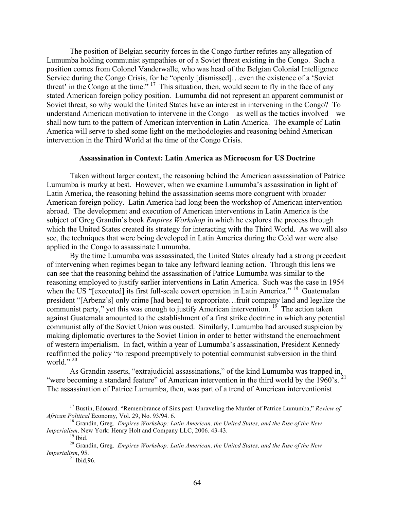The position of Belgian security forces in the Congo further refutes any allegation of Lumumba holding communist sympathies or of a Soviet threat existing in the Congo. Such a position comes from Colonel Vanderwalle, who was head of the Belgian Colonial Intelligence Service during the Congo Crisis, for he "openly [dismissed]…even the existence of a 'Soviet threat' in the Congo at the time."<sup>17</sup> This situation, then, would seem to fly in the face of any stated American foreign policy position. Lumumba did not represent an apparent communist or Soviet threat, so why would the United States have an interest in intervening in the Congo? To understand American motivation to intervene in the Congo—as well as the tactics involved—we shall now turn to the pattern of American intervention in Latin America. The example of Latin America will serve to shed some light on the methodologies and reasoning behind American intervention in the Third World at the time of the Congo Crisis.

## **Assassination in Context: Latin America as Microcosm for US Doctrine**

Taken without larger context, the reasoning behind the American assassination of Patrice Lumumba is murky at best. However, when we examine Lumumba's assassination in light of Latin America, the reasoning behind the assassination seems more congruent with broader American foreign policy. Latin America had long been the workshop of American intervention abroad. The development and execution of American interventions in Latin America is the subject of Greg Grandin's book *Empires Workshop* in which he explores the process through which the United States created its strategy for interacting with the Third World. As we will also see, the techniques that were being developed in Latin America during the Cold war were also applied in the Congo to assassinate Lumumba.

By the time Lumumba was assassinated, the United States already had a strong precedent of intervening when regimes began to take any leftward leaning action. Through this lens we can see that the reasoning behind the assassination of Patrice Lumumba was similar to the reasoning employed to justify earlier interventions in Latin America. Such was the case in 1954 when the US "[executed] its first full-scale covert operation in Latin America."<sup>18</sup> Guatemalan president "[Arbenz's] only crime [had been] to expropriate…fruit company land and legalize the communist party," yet this was enough to justify American intervention.  $1<sup>9</sup>$  The action taken against Guatemala amounted to the establishment of a first strike doctrine in which any potential communist ally of the Soviet Union was ousted. Similarly, Lumumba had aroused suspicion by making diplomatic overtures to the Soviet Union in order to better withstand the encroachment of western imperialism. In fact, within a year of Lumumba's assassination, President Kennedy reaffirmed the policy "to respond preemptively to potential communist subversion in the third world."<sup>20</sup>

As Grandin asserts, "extrajudicial assassinations," of the kind Lumumba was trapped in, "were becoming a standard feature" of American intervention in the third world by the  $1960$ 's.  $^{21}$ The assassination of Patrice Lumumba, then, was part of a trend of American interventionist

 <sup>17</sup> Bustin, Edouard. "Remembrance of Sins past: Unraveling the Murder of Patrice Lumumba," *Review of*

*African Political Economy, Vol. 29, No. 93/94. 6.* <sup>18</sup> Grandin, Greg. *Empires Workshop: Latin American, the United States, and the Rise of the New Imperialism. New York: Henry Holt and Company LLC, 2006. 43-43.* 

<sup>&</sup>lt;sup>19</sup> Ibid.<br><sup>20</sup> Grandin, Greg. *Empires Workshop: Latin American, the United States, and the Rise of the New Imperialism*, 95.<br><sup>21</sup> Ibid, 96.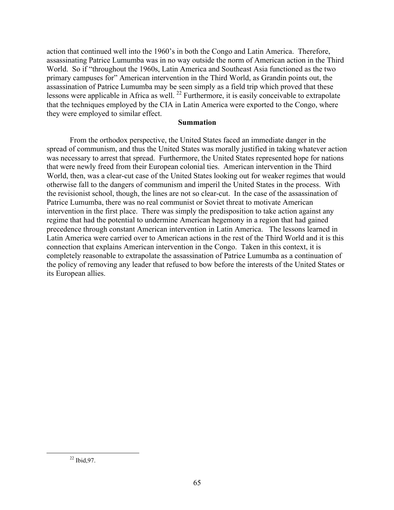action that continued well into the 1960's in both the Congo and Latin America. Therefore, assassinating Patrice Lumumba was in no way outside the norm of American action in the Third World. So if "throughout the 1960s, Latin America and Southeast Asia functioned as the two primary campuses for" American intervention in the Third World, as Grandin points out, the assassination of Patrice Lumumba may be seen simply as a field trip which proved that these lessons were applicable in Africa as well.<sup>22</sup> Furthermore, it is easily conceivable to extrapolate that the techniques employed by the CIA in Latin America were exported to the Congo, where they were employed to similar effect.

### **Summation**

From the orthodox perspective, the United States faced an immediate danger in the spread of communism, and thus the United States was morally justified in taking whatever action was necessary to arrest that spread. Furthermore, the United States represented hope for nations that were newly freed from their European colonial ties. American intervention in the Third World, then, was a clear-cut case of the United States looking out for weaker regimes that would otherwise fall to the dangers of communism and imperil the United States in the process. With the revisionist school, though, the lines are not so clear-cut. In the case of the assassination of Patrice Lumumba, there was no real communist or Soviet threat to motivate American intervention in the first place. There was simply the predisposition to take action against any regime that had the potential to undermine American hegemony in a region that had gained precedence through constant American intervention in Latin America. The lessons learned in Latin America were carried over to American actions in the rest of the Third World and it is this connection that explains American intervention in the Congo. Taken in this context, it is completely reasonable to extrapolate the assassination of Patrice Lumumba as a continuation of the policy of removing any leader that refused to bow before the interests of the United States or its European allies.

 $22$  Ibid, 97.